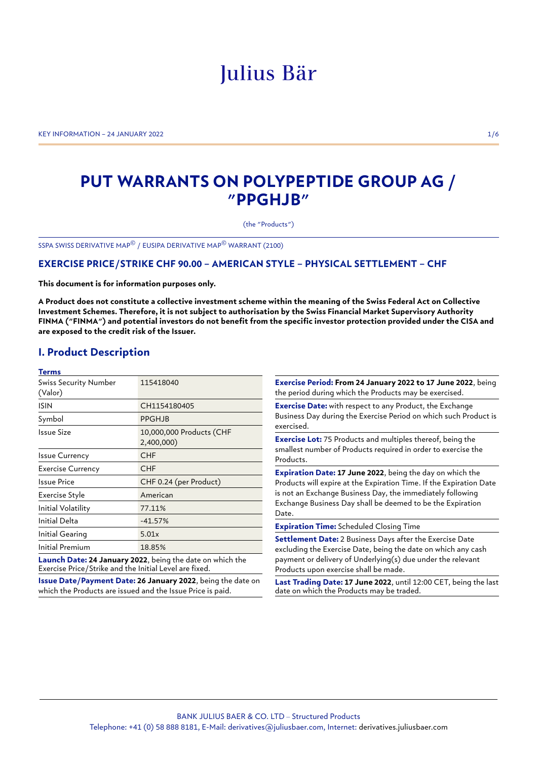# Julius Bär

# **PUT WARRANTS ON POLYPEPTIDE GROUP AG / "PPGHJB"**

(the "Products")

SSPA SWISS DERIVATIVE MAP© / EUSIPA DERIVATIVE MAP© WARRANT (2100)

# **EXERCISE PRICE/STRIKE CHF 90.00 – AMERICAN STYLE – PHYSICAL SETTLEMENT – CHF**

**This document is for information purposes only.**

**A Product does not constitute a collective investment scheme within the meaning of the Swiss Federal Act on Collective Investment Schemes. Therefore, it is not subject to authorisation by the Swiss Financial Market Supervisory Authority FINMA ("FINMA") and potential investors do not benefit from the specific investor protection provided under the CISA and are exposed to the credit risk of the Issuer.**

# **I. Product Description**

| Terms                            |                                        |
|----------------------------------|----------------------------------------|
| Swiss Security Number<br>(Valor) | 115418040                              |
| ISIN                             | CH1154180405                           |
| Symbol                           | PPGHJB                                 |
| Issue Size                       | 10,000,000 Products (CHF<br>2,400,000) |
| Issue Currency                   | <b>CHF</b>                             |
| <b>Exercise Currency</b>         | CHF                                    |
| Issue Price                      | CHF 0.24 (per Product)                 |
| Exercise Style                   | American                               |
| Initial Volatility               | 77.11%                                 |
| Initial Delta                    | $-41.57%$                              |
| Initial Gearing                  | 5.01x                                  |
| <b>Initial Premium</b>           | 18.85%                                 |

**Launch Date: 24 January 2022**, being the date on which the Exercise Price/Strike and the Initial Level are fixed.

**Issue Date/Payment Date: 26 January 2022**, being the date on which the Products are issued and the Issue Price is paid.

**Exercise Period: From 24 January 2022 to 17 June 2022**, being the period during which the Products may be exercised.

**Exercise Date:** with respect to any Product, the Exchange Business Day during the Exercise Period on which such Product is exercised.

**Exercise Lot:** 75 Products and multiples thereof, being the smallest number of Products required in order to exercise the Products.

**Expiration Date: 17 June 2022**, being the day on which the Products will expire at the Expiration Time. If the Expiration Date is not an Exchange Business Day, the immediately following Exchange Business Day shall be deemed to be the Expiration Date.

**Expiration Time:** Scheduled Closing Time

**Settlement Date:** 2 Business Days after the Exercise Date excluding the Exercise Date, being the date on which any cash payment or delivery of Underlying(s) due under the relevant Products upon exercise shall be made.

**Last Trading Date: 17 June 2022**, until 12:00 CET, being the last date on which the Products may be traded.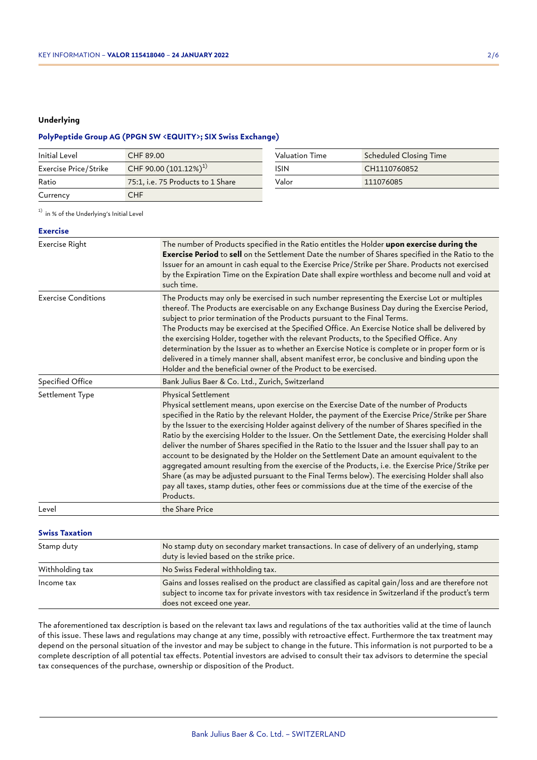# **Underlying**

# **PolyPeptide Group AG (PPGN SW <EQUITY>; SIX Swiss Exchange)**

| Initial Level         | CHF 89.00                            | Valuation Time | Scheduled Closing Time |
|-----------------------|--------------------------------------|----------------|------------------------|
| Exercise Price/Strike | CHF 90.00 $(101.12\%)$ <sup>1)</sup> | ISIN           | CH1110760852           |
| Ratio                 | 75:1, i.e. 75 Products to 1 Share    | Valor          | 111076085              |
| Currency              | CHF.                                 |                |                        |

 $1)$  in % of the Underlying's Initial Level

| o<br>۰.<br>٧ |  |
|--------------|--|
|              |  |

| Exercise Right             | The number of Products specified in the Ratio entitles the Holder upon exercise during the<br><b>Exercise Period</b> to sell on the Settlement Date the number of Shares specified in the Ratio to the<br>Issuer for an amount in cash equal to the Exercise Price/Strike per Share. Products not exercised<br>by the Expiration Time on the Expiration Date shall expire worthless and become null and void at<br>such time.                                                                                                                                                                                                                                                                                                                                                                                                                                                                                                                      |
|----------------------------|----------------------------------------------------------------------------------------------------------------------------------------------------------------------------------------------------------------------------------------------------------------------------------------------------------------------------------------------------------------------------------------------------------------------------------------------------------------------------------------------------------------------------------------------------------------------------------------------------------------------------------------------------------------------------------------------------------------------------------------------------------------------------------------------------------------------------------------------------------------------------------------------------------------------------------------------------|
| <b>Exercise Conditions</b> | The Products may only be exercised in such number representing the Exercise Lot or multiples<br>thereof. The Products are exercisable on any Exchange Business Day during the Exercise Period,<br>subject to prior termination of the Products pursuant to the Final Terms.<br>The Products may be exercised at the Specified Office. An Exercise Notice shall be delivered by<br>the exercising Holder, together with the relevant Products, to the Specified Office. Any<br>determination by the Issuer as to whether an Exercise Notice is complete or in proper form or is<br>delivered in a timely manner shall, absent manifest error, be conclusive and binding upon the<br>Holder and the beneficial owner of the Product to be exercised.                                                                                                                                                                                                 |
| Specified Office           | Bank Julius Baer & Co. Ltd., Zurich, Switzerland                                                                                                                                                                                                                                                                                                                                                                                                                                                                                                                                                                                                                                                                                                                                                                                                                                                                                                   |
| Settlement Type            | Physical Settlement<br>Physical settlement means, upon exercise on the Exercise Date of the number of Products<br>specified in the Ratio by the relevant Holder, the payment of the Exercise Price/Strike per Share<br>by the Issuer to the exercising Holder against delivery of the number of Shares specified in the<br>Ratio by the exercising Holder to the Issuer. On the Settlement Date, the exercising Holder shall<br>deliver the number of Shares specified in the Ratio to the Issuer and the Issuer shall pay to an<br>account to be designated by the Holder on the Settlement Date an amount equivalent to the<br>aggregated amount resulting from the exercise of the Products, i.e. the Exercise Price/Strike per<br>Share (as may be adjusted pursuant to the Final Terms below). The exercising Holder shall also<br>pay all taxes, stamp duties, other fees or commissions due at the time of the exercise of the<br>Products. |
| Level                      | the Share Price                                                                                                                                                                                                                                                                                                                                                                                                                                                                                                                                                                                                                                                                                                                                                                                                                                                                                                                                    |
| <b>Swiss Taxation</b>      |                                                                                                                                                                                                                                                                                                                                                                                                                                                                                                                                                                                                                                                                                                                                                                                                                                                                                                                                                    |
| Stamp duty                 | No stamp duty on secondary market transactions. In case of delivery of an underlying, stamp<br>duty is levied based on the strike price.                                                                                                                                                                                                                                                                                                                                                                                                                                                                                                                                                                                                                                                                                                                                                                                                           |
| Withholding tax            | No Swiss Federal withholding tax.                                                                                                                                                                                                                                                                                                                                                                                                                                                                                                                                                                                                                                                                                                                                                                                                                                                                                                                  |

| .          |                                                                                                                                                                                                                                        |
|------------|----------------------------------------------------------------------------------------------------------------------------------------------------------------------------------------------------------------------------------------|
| Income tax | Gains and losses realised on the product are classified as capital gain/loss and are therefore not<br>subject to income tax for private investors with tax residence in Switzerland if the product's term<br>does not exceed one year. |
|            |                                                                                                                                                                                                                                        |

The aforementioned tax description is based on the relevant tax laws and regulations of the tax authorities valid at the time of launch of this issue. These laws and regulations may change at any time, possibly with retroactive effect. Furthermore the tax treatment may depend on the personal situation of the investor and may be subject to change in the future. This information is not purported to be a complete description of all potential tax effects. Potential investors are advised to consult their tax advisors to determine the special tax consequences of the purchase, ownership or disposition of the Product.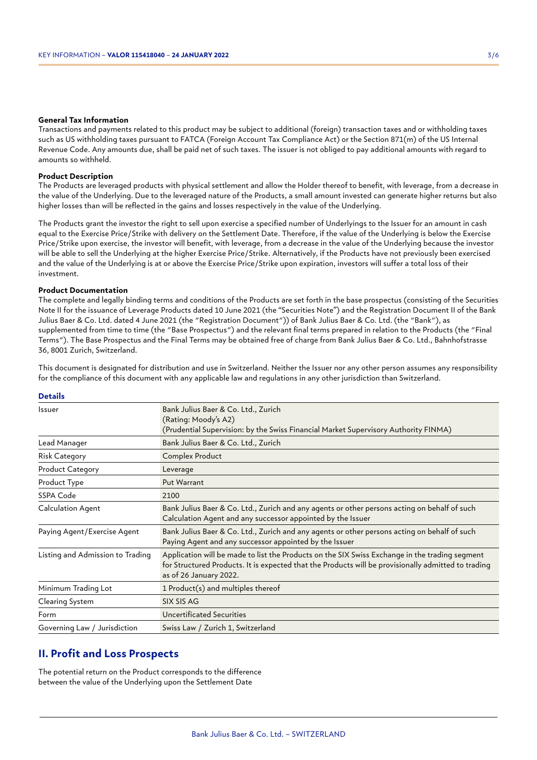#### **General Tax Information**

Transactions and payments related to this product may be subject to additional (foreign) transaction taxes and or withholding taxes such as US withholding taxes pursuant to FATCA (Foreign Account Tax Compliance Act) or the Section 871(m) of the US Internal Revenue Code. Any amounts due, shall be paid net of such taxes. The issuer is not obliged to pay additional amounts with regard to amounts so withheld.

#### **Product Description**

The Products are leveraged products with physical settlement and allow the Holder thereof to benefit, with leverage, from a decrease in the value of the Underlying. Due to the leveraged nature of the Products, a small amount invested can generate higher returns but also higher losses than will be reflected in the gains and losses respectively in the value of the Underlying.

The Products grant the investor the right to sell upon exercise a specified number of Underlyings to the Issuer for an amount in cash equal to the Exercise Price/Strike with delivery on the Settlement Date. Therefore, if the value of the Underlying is below the Exercise Price/Strike upon exercise, the investor will benefit, with leverage, from a decrease in the value of the Underlying because the investor will be able to sell the Underlying at the higher Exercise Price/Strike. Alternatively, if the Products have not previously been exercised and the value of the Underlying is at or above the Exercise Price/Strike upon expiration, investors will suffer a total loss of their investment.

#### **Product Documentation**

**Details**

The complete and legally binding terms and conditions of the Products are set forth in the base prospectus (consisting of the Securities Note II for the issuance of Leverage Products dated 10 June 2021 (the "Securities Note") and the Registration Document II of the Bank Julius Baer & Co. Ltd. dated 4 June 2021 (the "Registration Document")) of Bank Julius Baer & Co. Ltd. (the "Bank"), as supplemented from time to time (the "Base Prospectus") and the relevant final terms prepared in relation to the Products (the "Final Terms"). The Base Prospectus and the Final Terms may be obtained free of charge from Bank Julius Baer & Co. Ltd., Bahnhofstrasse 36, 8001 Zurich, Switzerland.

This document is designated for distribution and use in Switzerland. Neither the Issuer nor any other person assumes any responsibility for the compliance of this document with any applicable law and regulations in any other jurisdiction than Switzerland.

| Issuer                           | Bank Julius Baer & Co. Ltd., Zurich<br>(Rating: Moody's A2)<br>(Prudential Supervision: by the Swiss Financial Market Supervisory Authority FINMA)                                                                              |
|----------------------------------|---------------------------------------------------------------------------------------------------------------------------------------------------------------------------------------------------------------------------------|
| Lead Manager                     | Bank Julius Baer & Co. Ltd., Zurich                                                                                                                                                                                             |
| <b>Risk Category</b>             | Complex Product                                                                                                                                                                                                                 |
| <b>Product Category</b>          | Leverage                                                                                                                                                                                                                        |
| Product Type                     | <b>Put Warrant</b>                                                                                                                                                                                                              |
| SSPA Code                        | 2100                                                                                                                                                                                                                            |
| Calculation Agent                | Bank Julius Baer & Co. Ltd., Zurich and any agents or other persons acting on behalf of such<br>Calculation Agent and any successor appointed by the Issuer                                                                     |
| Paying Agent/Exercise Agent      | Bank Julius Baer & Co. Ltd., Zurich and any agents or other persons acting on behalf of such<br>Paying Agent and any successor appointed by the Issuer                                                                          |
| Listing and Admission to Trading | Application will be made to list the Products on the SIX Swiss Exchange in the trading segment<br>for Structured Products. It is expected that the Products will be provisionally admitted to trading<br>as of 26 January 2022. |
| Minimum Trading Lot              | 1 Product(s) and multiples thereof                                                                                                                                                                                              |
| Clearing System                  | SIX SIS AG                                                                                                                                                                                                                      |
| Form                             | <b>Uncertificated Securities</b>                                                                                                                                                                                                |
| Governing Law / Jurisdiction     | Swiss Law / Zurich 1, Switzerland                                                                                                                                                                                               |

# **II. Profit and Loss Prospects**

The potential return on the Product corresponds to the difference between the value of the Underlying upon the Settlement Date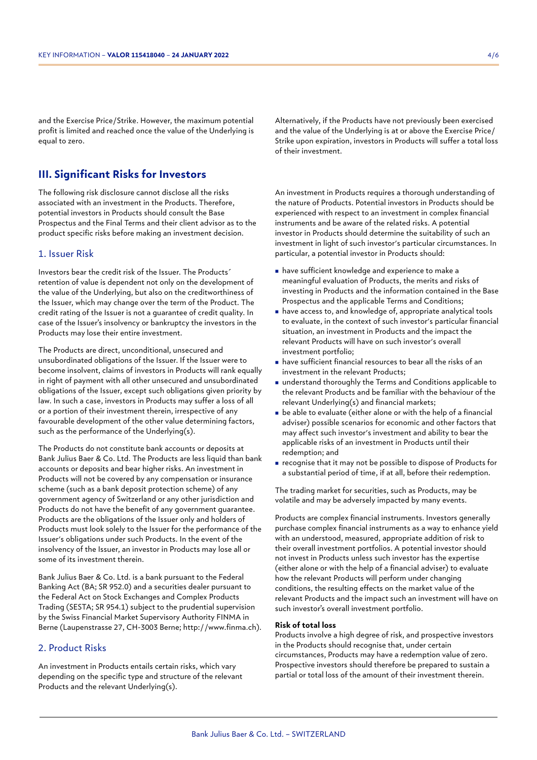and the Exercise Price/Strike. However, the maximum potential profit is limited and reached once the value of the Underlying is equal to zero.

# **III. Significant Risks for Investors**

The following risk disclosure cannot disclose all the risks associated with an investment in the Products. Therefore, potential investors in Products should consult the Base Prospectus and the Final Terms and their client advisor as to the product specific risks before making an investment decision.

# 1. Issuer Risk

Investors bear the credit risk of the Issuer. The Products´ retention of value is dependent not only on the development of the value of the Underlying, but also on the creditworthiness of the Issuer, which may change over the term of the Product. The credit rating of the Issuer is not a guarantee of credit quality. In case of the Issuer's insolvency or bankruptcy the investors in the Products may lose their entire investment.

The Products are direct, unconditional, unsecured and unsubordinated obligations of the Issuer. If the Issuer were to become insolvent, claims of investors in Products will rank equally in right of payment with all other unsecured and unsubordinated obligations of the Issuer, except such obligations given priority by law. In such a case, investors in Products may suffer a loss of all or a portion of their investment therein, irrespective of any favourable development of the other value determining factors, such as the performance of the Underlying(s).

The Products do not constitute bank accounts or deposits at Bank Julius Baer & Co. Ltd. The Products are less liquid than bank accounts or deposits and bear higher risks. An investment in Products will not be covered by any compensation or insurance scheme (such as a bank deposit protection scheme) of any government agency of Switzerland or any other jurisdiction and Products do not have the benefit of any government guarantee. Products are the obligations of the Issuer only and holders of Products must look solely to the Issuer for the performance of the Issuer's obligations under such Products. In the event of the insolvency of the Issuer, an investor in Products may lose all or some of its investment therein.

Bank Julius Baer & Co. Ltd. is a bank pursuant to the Federal Banking Act (BA; SR 952.0) and a securities dealer pursuant to the Federal Act on Stock Exchanges and Complex Products Trading (SESTA; SR 954.1) subject to the prudential supervision by the Swiss Financial Market Supervisory Authority FINMA in Berne (Laupenstrasse 27, CH-3003 Berne; http://www.finma.ch).

# 2. Product Risks

An investment in Products entails certain risks, which vary depending on the specific type and structure of the relevant Products and the relevant Underlying(s).

Alternatively, if the Products have not previously been exercised and the value of the Underlying is at or above the Exercise Price/ Strike upon expiration, investors in Products will suffer a total loss of their investment.

An investment in Products requires a thorough understanding of the nature of Products. Potential investors in Products should be experienced with respect to an investment in complex financial instruments and be aware of the related risks. A potential investor in Products should determine the suitability of such an investment in light of such investor's particular circumstances. In particular, a potential investor in Products should:

- **n** have sufficient knowledge and experience to make a meaningful evaluation of Products, the merits and risks of investing in Products and the information contained in the Base Prospectus and the applicable Terms and Conditions;
- <sup>n</sup> have access to, and knowledge of, appropriate analytical tools to evaluate, in the context of such investor's particular financial situation, an investment in Products and the impact the relevant Products will have on such investor's overall investment portfolio;
- $\blacksquare$  have sufficient financial resources to bear all the risks of an investment in the relevant Products;
- understand thoroughly the Terms and Conditions applicable to the relevant Products and be familiar with the behaviour of the relevant Underlying(s) and financial markets;
- $\blacksquare$  be able to evaluate (either alone or with the help of a financial adviser) possible scenarios for economic and other factors that may affect such investor's investment and ability to bear the applicable risks of an investment in Products until their redemption; and
- <sup>n</sup> recognise that it may not be possible to dispose of Products for a substantial period of time, if at all, before their redemption.

The trading market for securities, such as Products, may be volatile and may be adversely impacted by many events.

Products are complex financial instruments. Investors generally purchase complex financial instruments as a way to enhance yield with an understood, measured, appropriate addition of risk to their overall investment portfolios. A potential investor should not invest in Products unless such investor has the expertise (either alone or with the help of a financial adviser) to evaluate how the relevant Products will perform under changing conditions, the resulting effects on the market value of the relevant Products and the impact such an investment will have on such investor's overall investment portfolio.

#### **Risk of total loss**

Products involve a high degree of risk, and prospective investors in the Products should recognise that, under certain circumstances, Products may have a redemption value of zero. Prospective investors should therefore be prepared to sustain a partial or total loss of the amount of their investment therein.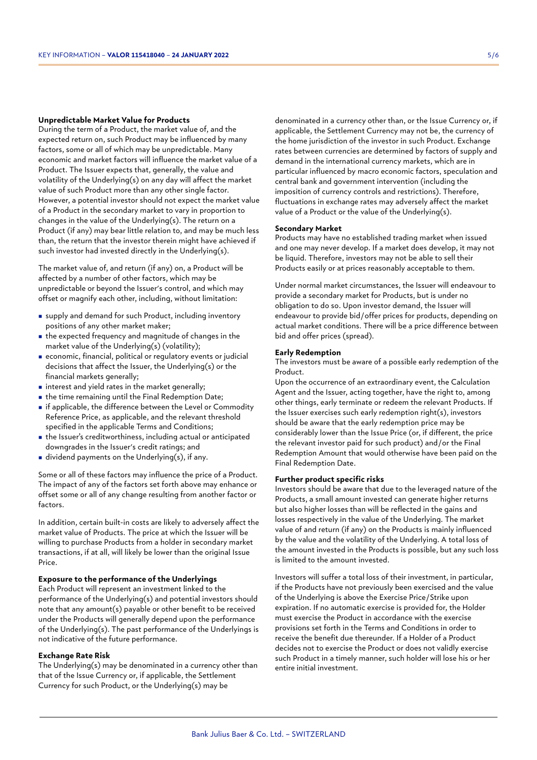#### **Unpredictable Market Value for Products**

During the term of a Product, the market value of, and the expected return on, such Product may be influenced by many factors, some or all of which may be unpredictable. Many economic and market factors will influence the market value of a Product. The Issuer expects that, generally, the value and volatility of the Underlying(s) on any day will affect the market value of such Product more than any other single factor. However, a potential investor should not expect the market value of a Product in the secondary market to vary in proportion to changes in the value of the Underlying(s). The return on a Product (if any) may bear little relation to, and may be much less than, the return that the investor therein might have achieved if such investor had invested directly in the Underlying(s).

The market value of, and return (if any) on, a Product will be affected by a number of other factors, which may be unpredictable or beyond the Issuer's control, and which may offset or magnify each other, including, without limitation:

- <sup>n</sup> supply and demand for such Product, including inventory positions of any other market maker;
- $\blacksquare$  the expected frequency and magnitude of changes in the market value of the Underlying(s) (volatility);
- <sup>n</sup> economic, financial, political or regulatory events or judicial decisions that affect the Issuer, the Underlying(s) or the financial markets generally;
- n interest and yield rates in the market generally;
- $\blacksquare$  the time remaining until the Final Redemption Date;
- <sup>n</sup> if applicable, the difference between the Level or Commodity Reference Price, as applicable, and the relevant threshold specified in the applicable Terms and Conditions;
- <sup>n</sup> the Issuer's creditworthiness, including actual or anticipated downgrades in the Issuer's credit ratings; and
- $\blacksquare$  dividend payments on the Underlying(s), if any.

Some or all of these factors may influence the price of a Product. The impact of any of the factors set forth above may enhance or offset some or all of any change resulting from another factor or factors.

In addition, certain built-in costs are likely to adversely affect the market value of Products. The price at which the Issuer will be willing to purchase Products from a holder in secondary market transactions, if at all, will likely be lower than the original Issue Price.

#### **Exposure to the performance of the Underlyings**

Each Product will represent an investment linked to the performance of the Underlying(s) and potential investors should note that any amount(s) payable or other benefit to be received under the Products will generally depend upon the performance of the Underlying(s). The past performance of the Underlyings is not indicative of the future performance.

#### **Exchange Rate Risk**

The Underlying(s) may be denominated in a currency other than that of the Issue Currency or, if applicable, the Settlement Currency for such Product, or the Underlying(s) may be

denominated in a currency other than, or the Issue Currency or, if applicable, the Settlement Currency may not be, the currency of the home jurisdiction of the investor in such Product. Exchange rates between currencies are determined by factors of supply and demand in the international currency markets, which are in particular influenced by macro economic factors, speculation and central bank and government intervention (including the imposition of currency controls and restrictions). Therefore, fluctuations in exchange rates may adversely affect the market value of a Product or the value of the Underlying(s).

#### **Secondary Market**

Products may have no established trading market when issued and one may never develop. If a market does develop, it may not be liquid. Therefore, investors may not be able to sell their Products easily or at prices reasonably acceptable to them.

Under normal market circumstances, the Issuer will endeavour to provide a secondary market for Products, but is under no obligation to do so. Upon investor demand, the Issuer will endeavour to provide bid/offer prices for products, depending on actual market conditions. There will be a price difference between bid and offer prices (spread).

#### **Early Redemption**

The investors must be aware of a possible early redemption of the Product.

Upon the occurrence of an extraordinary event, the Calculation Agent and the Issuer, acting together, have the right to, among other things, early terminate or redeem the relevant Products. If the Issuer exercises such early redemption right(s), investors should be aware that the early redemption price may be considerably lower than the Issue Price (or, if different, the price the relevant investor paid for such product) and/or the Final Redemption Amount that would otherwise have been paid on the Final Redemption Date.

### **Further product specific risks**

Investors should be aware that due to the leveraged nature of the Products, a small amount invested can generate higher returns but also higher losses than will be reflected in the gains and losses respectively in the value of the Underlying. The market value of and return (if any) on the Products is mainly influenced by the value and the volatility of the Underlying. A total loss of the amount invested in the Products is possible, but any such loss is limited to the amount invested.

Investors will suffer a total loss of their investment, in particular, if the Products have not previously been exercised and the value of the Underlying is above the Exercise Price/Strike upon expiration. If no automatic exercise is provided for, the Holder must exercise the Product in accordance with the exercise provisions set forth in the Terms and Conditions in order to receive the benefit due thereunder. If a Holder of a Product decides not to exercise the Product or does not validly exercise such Product in a timely manner, such holder will lose his or her entire initial investment.